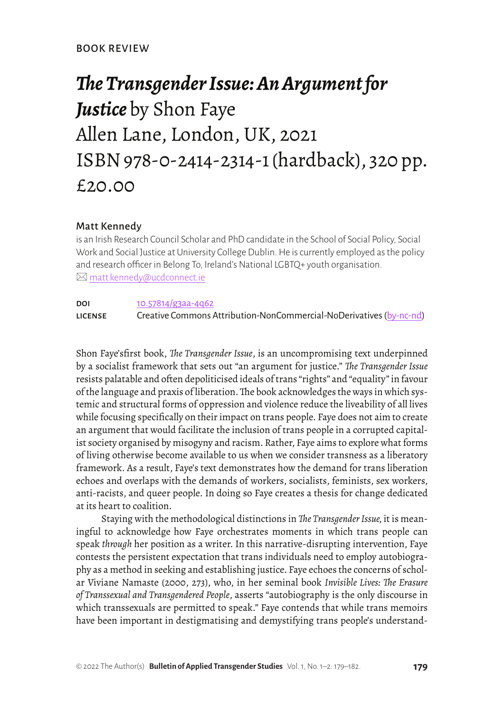# *The Transgender Issue: An Argument for Justice* by Shon Faye Allen Lane, London, UK, 2021 ISBN 978-0-2414-2314-1 (hardback), 320 pp. £20.00

### Matt Kennedy

is an Irish Research Council Scholar and PhD candidate in the School of Social Policy, Social Work and Social Justice at University College Dublin. He is currently employed as the policy and research officer in Belong To, Ireland's National LGBTQ+ youth organisation.  $\boxtimes$  [matt.kennedy@ucdconnect.ie](mailto:matt.kennedy%40ucdconnect.ie?subject=)

#### DOI [10.57814/g3aa-4q62](http://doi.org/10.57814/g3aa-4q62) license Creative Commons Attribution-NonCommercial-NoDerivatives [\(by-nc-nd](https://creativecommons.org/licenses/by-nc-nd/4.0/legalcode))

Shon Faye'sfirst book, *The Transgender Issue*, is an uncompromising text underpinned by a socialist framework that sets out "an argument for justice." *The Transgender Issue* resists palatable and often depoliticised ideals of trans "rights" and "equality" in favour of the language and praxis of liberation. The book acknowledges the ways in which systemic and structural forms of oppression and violence reduce the liveability of all lives while focusing specifically on their impact on trans people. Faye does not aim to create an argument that would facilitate the inclusion of trans people in a corrupted capitalist society organised by misogyny and racism. Rather, Faye aims to explore what forms of living otherwise become available to us when we consider transness as a liberatory framework. As a result, Faye's text demonstrates how the demand for trans liberation echoes and overlaps with the demands of workers, socialists, feminists, sex workers, anti-racists, and queer people. In doing so Faye creates a thesis for change dedicated at its heart to coalition.

Staying with the methodological distinctions in *The Transgender Issue,* it is meaningful to acknowledge how Faye orchestrates moments in which trans people can speak *through* her position as a writer. In this narrative-disrupting intervention, Faye contests the persistent expectation that trans individuals need to employ autobiography as a method in seeking and establishing justice. Faye echoes the concerns of scholar Viviane Namaste (2000, 273), who, in her seminal book *Invisible Lives: The Erasure of Transsexual and Transgendered People*, asserts "autobiography is the only discourse in which transsexuals are permitted to speak." Faye contends that while trans memoirs have been important in destigmatising and demystifying trans people's understand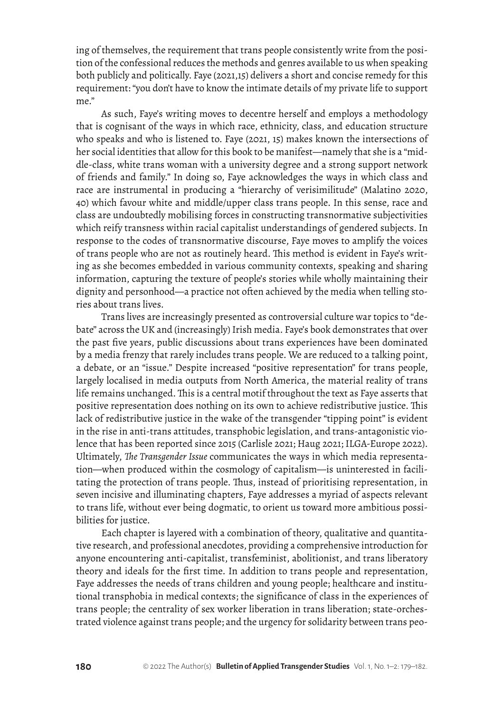ing of themselves, the requirement that trans people consistently write from the position of the confessional reduces the methods and genres available to us when speaking both publicly and politically. Faye (2021,15) delivers a short and concise remedy for this requirement: "you don't have to know the intimate details of my private life to support me"

As such, Faye's writing moves to decentre herself and employs a methodology that is cognisant of the ways in which race, ethnicity, class, and education structure who speaks and who is listened to. Faye (2021, 15) makes known the intersections of her social identities that allow for this book to be manifest—namely that she is a "middle-class, white trans woman with a university degree and a strong support network of friends and family." In doing so, Faye acknowledges the ways in which class and race are instrumental in producing a "hierarchy of verisimilitude" (Malatino 2020, 40) which favour white and middle/upper class trans people. In this sense, race and class are undoubtedly mobilising forces in constructing transnormative subjectivities which reify transness within racial capitalist understandings of gendered subjects. In response to the codes of transnormative discourse, Faye moves to amplify the voices of trans people who are not as routinely heard. This method is evident in Faye's writing as she becomes embedded in various community contexts, speaking and sharing information, capturing the texture of people's stories while wholly maintaining their dignity and personhood—a practice not often achieved by the media when telling stories about trans lives.

Trans lives are increasingly presented as controversial culture war topics to "debate" across the UK and (increasingly) Irish media. Faye's book demonstrates that over the past five years, public discussions about trans experiences have been dominated by a media frenzy that rarely includes trans people. We are reduced to a talking point, a debate, or an "issue." Despite increased "positive representation" for trans people, largely localised in media outputs from North America, the material reality of trans life remains unchanged. This is a central motif throughout the text as Faye asserts that positive representation does nothing on its own to achieve redistributive justice. This lack of redistributive justice in the wake of the transgender "tipping point" is evident in the rise in anti-trans attitudes, transphobic legislation, and trans-antagonistic violence that has been reported since 2015 (Carlisle 2021; Haug 2021; ILGA-Europe 2022). Ultimately, *The Transgender Issue* communicates the ways in which media representation—when produced within the cosmology of capitalism—is uninterested in facilitating the protection of trans people. Thus, instead of prioritising representation, in seven incisive and illuminating chapters, Faye addresses a myriad of aspects relevant to trans life, without ever being dogmatic, to orient us toward more ambitious possibilities for justice.

Each chapter is layered with a combination of theory, qualitative and quantitative research, and professional anecdotes, providing a comprehensive introduction for anyone encountering anti-capitalist, transfeminist, abolitionist, and trans liberatory theory and ideals for the first time. In addition to trans people and representation, Faye addresses the needs of trans children and young people; healthcare and institutional transphobia in medical contexts; the significance of class in the experiences of trans people; the centrality of sex worker liberation in trans liberation; state-orchestrated violence against trans people; and the urgency for solidarity between trans peo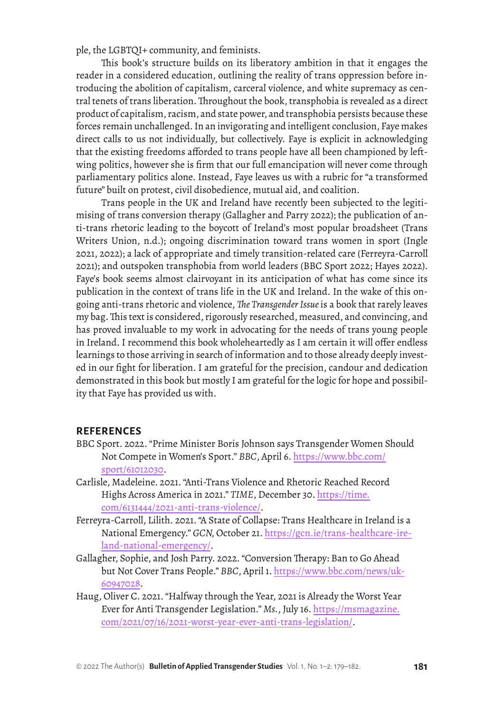ple, the LGBTQI+ community, and feminists.

This book's structure builds on its liberatory ambition in that it engages the reader in a considered education, outlining the reality of trans oppression before introducing the abolition of capitalism, carceral violence, and white supremacy as central tenets of trans liberation. Throughout the book, transphobia is revealed as a direct product of capitalism, racism, and state power, and transphobia persists because these forces remain unchallenged. In an invigorating and intelligent conclusion, Faye makes direct calls to us not individually, but collectively. Faye is explicit in acknowledging that the existing freedoms afforded to trans people have all been championed by leftwing politics, however she is firm that our full emancipation will never come through parliamentary politics alone. Instead, Faye leaves us with a rubric for "a transformed future" built on protest, civil disobedience, mutual aid, and coalition.

Trans people in the UK and Ireland have recently been subjected to the legitimising of trans conversion therapy (Gallagher and Parry 2022); the publication of anti-trans rhetoric leading to the boycott of Ireland's most popular broadsheet (Trans Writers Union, n.d.); ongoing discrimination toward trans women in sport (Ingle 2021, 2022); a lack of appropriate and timely transition-related care (Ferreyra-Carroll 2021); and outspoken transphobia from world leaders (BBC Sport 2022; Hayes 2022). Faye's book seems almost clairvoyant in its anticipation of what has come since its publication in the context of trans life in the UK and Ireland. In the wake of this ongoing anti-trans rhetoric and violence, *The Transgender Issue* is a book that rarely leaves my bag. This text is considered, rigorously researched, measured, and convincing, and has proved invaluable to my work in advocating for the needs of trans young people in Ireland. I recommend this book wholeheartedly as I am certain it will offer endless learnings to those arriving in search of information and to those already deeply invested in our fight for liberation. I am grateful for the precision, candour and dedication demonstrated in this book but mostly I am grateful for the logic for hope and possibility that Faye has provided us with.

#### **REFERENCES**

- BBC Sport. 2022. "Prime Minister Boris Johnson says Transgender Women Should Not Compete in Women's Sport." *BBC*, April 6. [https://www.bbc.com/](https://www.bbc.com/sport/61012030) [sport/61012030](https://www.bbc.com/sport/61012030).
- Carlisle, Madeleine. 2021. "Anti-Trans Violence and Rhetoric Reached Record Highs Across America in 2021." *TIME*, December 30. [https://time.](https://time.com/6131444/2021-anti-trans-violence/) [com/6131444/2021-anti-trans-violence/](https://time.com/6131444/2021-anti-trans-violence/).
- Ferreyra-Carroll, Lilith. 2021. "A State of Collapse: Trans Healthcare in Ireland is a National Emergency." *GCN,* October 21. [https://gcn.ie/trans-healthcare-ire](https://gcn.ie/trans-healthcare-ireland-national-emergency/)[land-national-emergency/](https://gcn.ie/trans-healthcare-ireland-national-emergency/).
- Gallagher, Sophie, and Josh Parry. 2022. "Conversion Therapy: Ban to Go Ahead but Not Cover Trans People." *BBC*, April 1. [https://www.bbc.com/news/uk-](https://www.bbc.com/news/uk-60947028)[60947028.](https://www.bbc.com/news/uk-60947028)
- Haug, Oliver C. 2021. "Halfway through the Year, 2021 is Already the Worst Year Ever for Anti Transgender Legislation." *Ms.*, July 16. [https://msmagazine.](https://msmagazine.com/2021/07/16/2021-worst-year-ever-anti-trans-legislation/) [com/2021/07/16/2021-worst-year-ever-anti-trans-legislation/](https://msmagazine.com/2021/07/16/2021-worst-year-ever-anti-trans-legislation/).